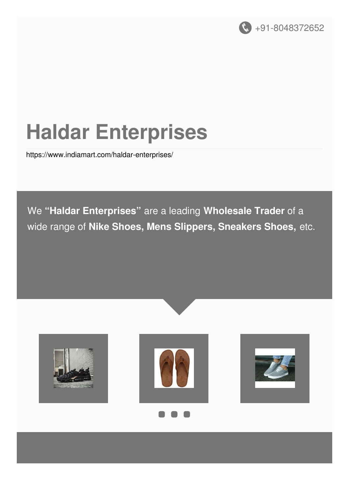

# **Haldar Enterprises**

<https://www.indiamart.com/haldar-enterprises/>

We **"Haldar Enterprises"** are a leading **Wholesale Trader** of a wide range of **Nike Shoes, Mens Slippers, Sneakers Shoes,** etc.

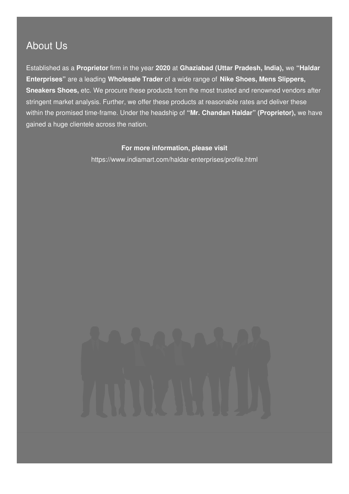### About Us

Established as a **Proprietor** firm in the year **2020** at **Ghaziabad (Uttar Pradesh, India),** we **"Haldar Enterprises"** are a leading **Wholesale Trader** of a wide range of **Nike Shoes, Mens Slippers, Sneakers Shoes,** etc. We procure these products from the most trusted and renowned vendors after stringent market analysis. Further, we offer these products at reasonable rates and deliver these within the promised time-frame. Under the headship of **"Mr. Chandan Haldar" (Proprietor),** we have gained a huge clientele across the nation.

#### **For more information, please visit**

<https://www.indiamart.com/haldar-enterprises/profile.html>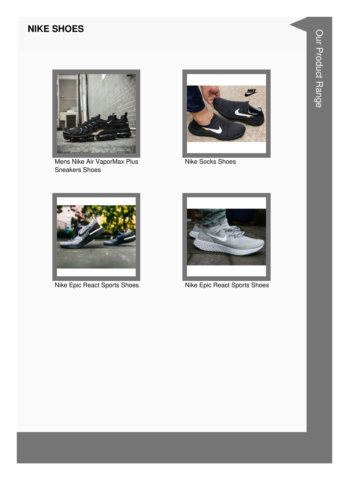#### **NIKE SHOES**



Mens Nike Air VaporMax Plus **Sneakers Shoes** 



Nike Socks Shoes



Nike Epic React Sports Shoes



Nike Epic React Sports Shoes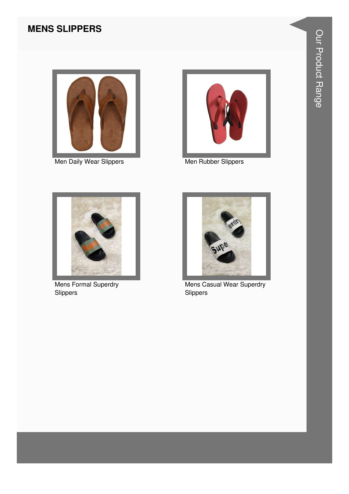#### **MENS SLIPPERS**



Men Daily Wear Slippers Men Rubber Slippers





Mens Formal Superdry Slippers



Mens Casual Wear Superdry Slippers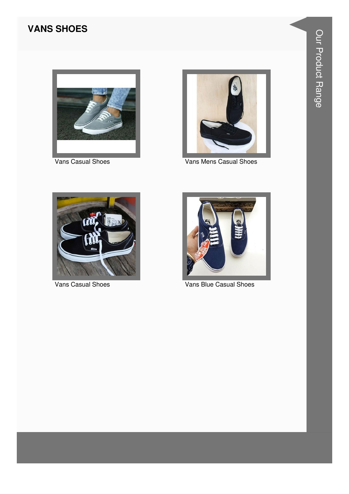#### **VANS SHOES**



Vans Casual Shoes



Vans Mens Casual Shoes



Vans Casual Shoes



Vans Blue Casual Shoes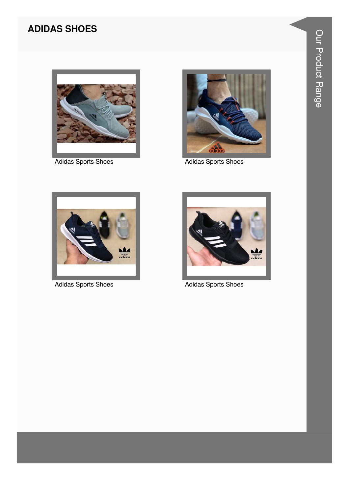#### **ADIDAS SHOES**



**Adidas Sports Shoes** 



Adidas Sports Shoes



**Adidas Sports Shoes** 



**Adidas Sports Shoes**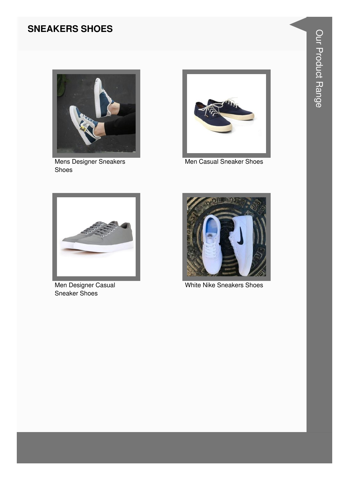#### **SNEAKERS SHOES**



Mens Designer Sneakers Shoes



Men Casual Sneaker Shoes



Men Designer Casual Sneaker Shoes



White Nike Sneakers Shoes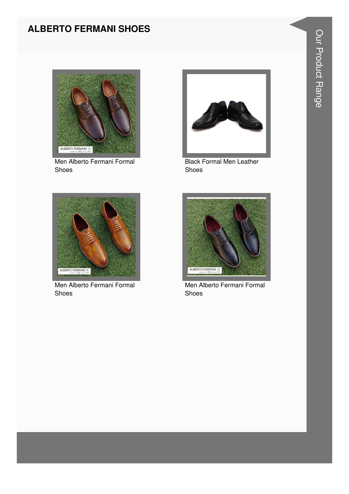#### **ALBERTO FERMANI SHOES**



Men Alberto Fermani Formal Shoes



Black Formal Men Leather Shoes



Men Alberto Fermani Formal Shoes



Men Alberto Fermani Formal Shoes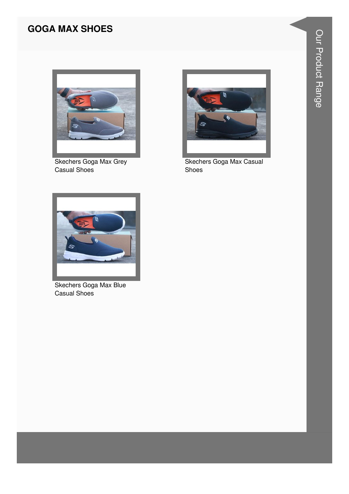#### **GOGA MAX SHOES**



Skechers Goga Max Grey Casual Shoes



Skechers Goga Max Casual Shoes



Skechers Goga Max Blue Casual Shoes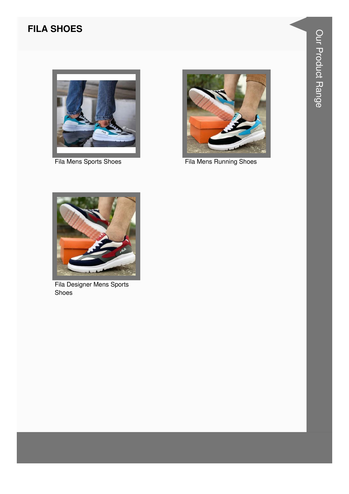#### **FILA SHOES**



Fila Mens Sports Shoes



Fila Mens Running Shoes



Fila Designer Mens Sports Shoes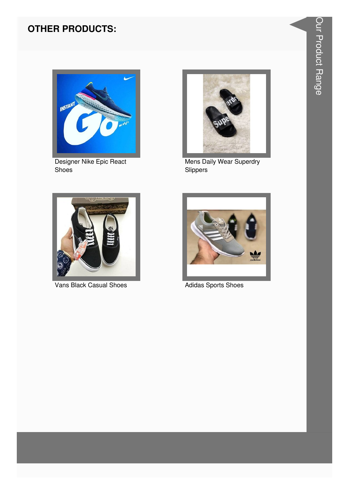#### **OTHER PRODUCTS:**



Designer Nike Epic React Shoes



Mens Daily Wear Superdry<br>Slippers



Vans Black Casual Shoes



Adidas Sports Shoes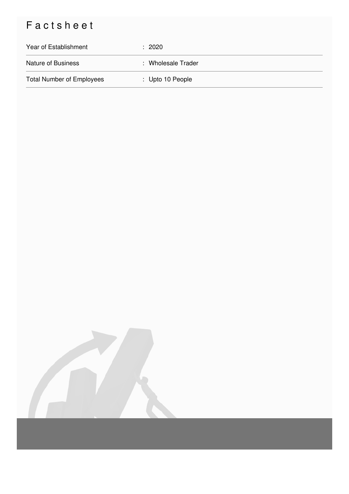## Factsheet

| Year of Establishment            | : 2020             |
|----------------------------------|--------------------|
| <b>Nature of Business</b>        | : Wholesale Trader |
| <b>Total Number of Employees</b> | : Upto 10 People   |